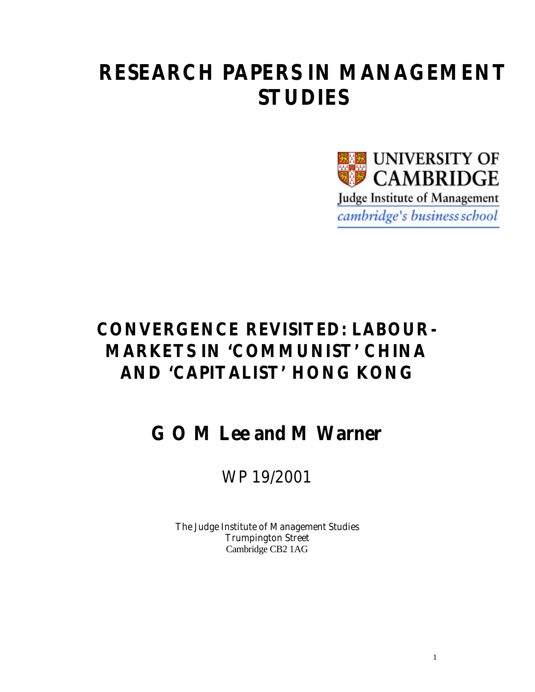# **RESEARCH PAPERS IN MANAGEMENT STUDIES**



## **CONVERGENCE REVISITED: LABOUR-MARKETS IN 'COMMUNIST' CHINA AND 'CAPITALIST' HONG KONG**

# **G O M Lee and M Warner**

## WP 19/2001

The Judge Institute of Management Studies Trumpington Street Cambridge CB2 1AG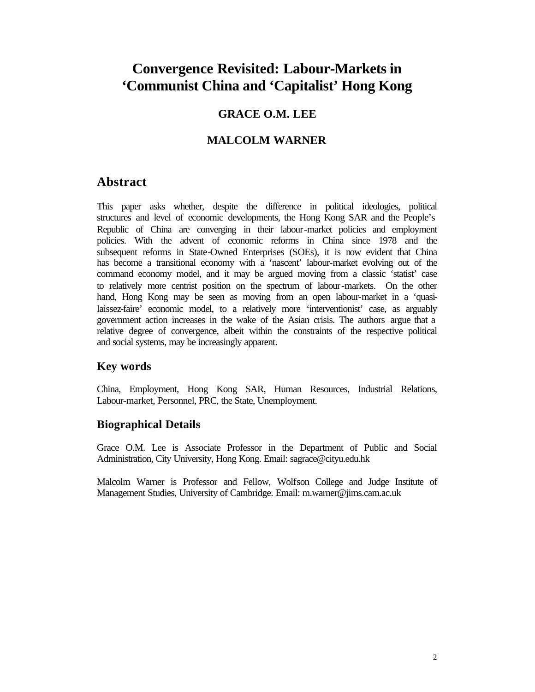## **Convergence Revisited: Labour-Markets in 'Communist China and 'Capitalist' Hong Kong**

### **GRACE O.M. LEE**

#### **MALCOLM WARNER**

#### **Abstract**

This paper asks whether, despite the difference in political ideologies, political structures and level of economic developments, the Hong Kong SAR and the People's Republic of China are converging in their labour-market policies and employment policies. With the advent of economic reforms in China since 1978 and the subsequent reforms in State-Owned Enterprises (SOEs), it is now evident that China has become a transitional economy with a 'nascent' labour-market evolving out of the command economy model, and it may be argued moving from a classic 'statist' case to relatively more centrist position on the spectrum of labour-markets. On the other hand, Hong Kong may be seen as moving from an open labour-market in a 'quasilaissez-faire' economic model, to a relatively more 'interventionist' case, as arguably government action increases in the wake of the Asian crisis. The authors argue that a relative degree of convergence, albeit within the constraints of the respective political and social systems, may be increasingly apparent.

#### **Key words**

China, Employment, Hong Kong SAR, Human Resources, Industrial Relations, Labour-market, Personnel, PRC, the State, Unemployment.

#### **Biographical Details**

Grace O.M. Lee is Associate Professor in the Department of Public and Social Administration, City University, Hong Kong. Email: sagrace@cityu.edu.hk

Malcolm Warner is Professor and Fellow, Wolfson College and Judge Institute of Management Studies, University of Cambridge. Email: m.warner@jims.cam.ac.uk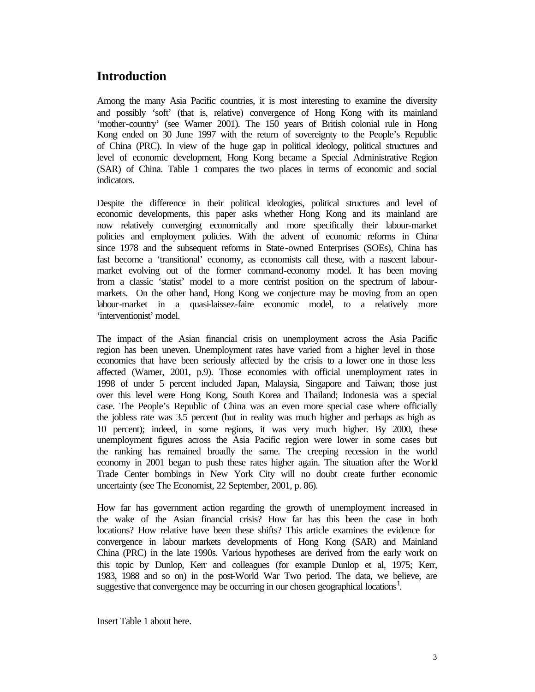## **Introduction**

Among the many Asia Pacific countries, it is most interesting to examine the diversity and possibly 'soft' (that is, relative) convergence of Hong Kong with its mainland 'mother-country' (see Warner 2001). The 150 years of British colonial rule in Hong Kong ended on 30 June 1997 with the return of sovereignty to the People's Republic of China (PRC). In view of the huge gap in political ideology, political structures and level of economic development, Hong Kong became a Special Administrative Region (SAR) of China. Table 1 compares the two places in terms of economic and social indicators.

Despite the difference in their political ideologies, political structures and level of economic developments, this paper asks whether Hong Kong and its mainland are now relatively converging economically and more specifically their labour-market policies and employment policies. With the advent of economic reforms in China since 1978 and the subsequent reforms in State-owned Enterprises (SOEs), China has fast become a 'transitional' economy, as economists call these, with a nascent labourmarket evolving out of the former command-economy model. It has been moving from a classic 'statist' model to a more centrist position on the spectrum of labourmarkets. On the other hand, Hong Kong we conjecture may be moving from an open labour-market in a quasi-laissez-faire economic model, to a relatively more 'interventionist' model.

The impact of the Asian financial crisis on unemployment across the Asia Pacific region has been uneven. Unemployment rates have varied from a higher level in those economies that have been seriously affected by the crisis to a lower one in those less affected (Warner, 2001, p.9). Those economies with official unemployment rates in 1998 of under 5 percent included Japan, Malaysia, Singapore and Taiwan; those just over this level were Hong Kong, South Korea and Thailand; Indonesia was a special case. The People's Republic of China was an even more special case where officially the jobless rate was 3.5 percent (but in reality was much higher and perhaps as high as 10 percent); indeed, in some regions, it was very much higher. By 2000, these unemployment figures across the Asia Pacific region were lower in some cases but the ranking has remained broadly the same. The creeping recession in the world economy in 2001 began to push these rates higher again. The situation after the World Trade Center bombings in New York City will no doubt create further economic uncertainty (see The Economist, 22 September, 2001, p. 86).

How far has government action regarding the growth of unemployment increased in the wake of the Asian financial crisis? How far has this been the case in both locations? How relative have been these shifts? This article examines the evidence for convergence in labour markets developments of Hong Kong (SAR) and Mainland China (PRC) in the late 1990s. Various hypotheses are derived from the early work on this topic by Dunlop, Kerr and colleagues (for example Dunlop et al, 1975; Kerr, 1983, 1988 and so on) in the post-World War Two period. The data, we believe, are suggestive that convergence may be occurring in our chosen geographical locations<sup>1</sup>.

Insert Table 1 about here.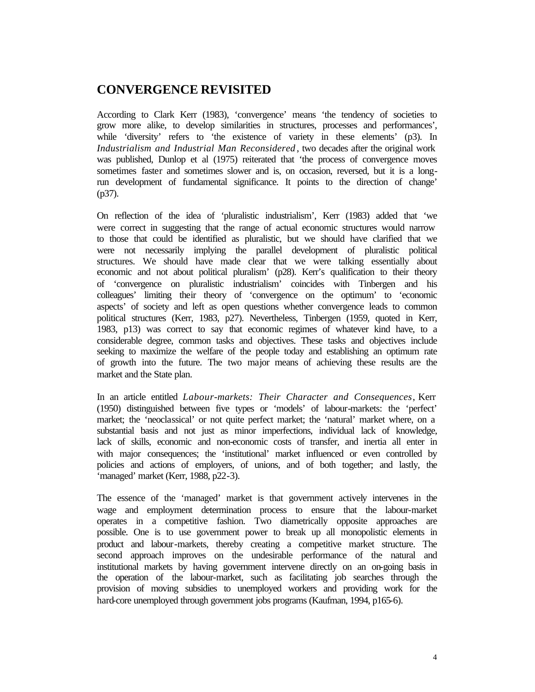### **CONVERGENCE REVISITED**

According to Clark Kerr (1983), 'convergence' means 'the tendency of societies to grow more alike, to develop similarities in structures, processes and performances', while 'diversity' refers to 'the existence of variety in these elements' (p3). In *Industrialism and Industrial Man Reconsidered* , two decades after the original work was published, Dunlop et al (1975) reiterated that 'the process of convergence moves sometimes faster and sometimes slower and is, on occasion, reversed, but it is a longrun development of fundamental significance. It points to the direction of change' (p37).

On reflection of the idea of 'pluralistic industrialism', Kerr (1983) added that 'we were correct in suggesting that the range of actual economic structures would narrow to those that could be identified as pluralistic, but we should have clarified that we were not necessarily implying the parallel development of pluralistic political structures. We should have made clear that we were talking essentially about economic and not about political pluralism' (p28). Kerr's qualification to their theory of 'convergence on pluralistic industrialism' coincides with Tinbergen and his colleagues' limiting their theory of 'convergence on the optimum' to 'economic aspects' of society and left as open questions whether convergence leads to common political structures (Kerr, 1983, p27). Nevertheless, Tinbergen (1959, quoted in Kerr, 1983, p13) was correct to say that economic regimes of whatever kind have, to a considerable degree, common tasks and objectives. These tasks and objectives include seeking to maximize the welfare of the people today and establishing an optimum rate of growth into the future. The two major means of achieving these results are the market and the State plan.

In an article entitled *Labour-markets: Their Character and Consequences*, Kerr (1950) distinguished between five types or 'models' of labour-markets: the 'perfect' market; the 'neoclassical' or not quite perfect market; the 'natural' market where, on a substantial basis and not just as minor imperfections, individual lack of knowledge, lack of skills, economic and non-economic costs of transfer, and inertia all enter in with major consequences; the 'institutional' market influenced or even controlled by policies and actions of employers, of unions, and of both together; and lastly, the 'managed' market (Kerr, 1988, p22-3).

The essence of the 'managed' market is that government actively intervenes in the wage and employment determination process to ensure that the labour-market operates in a competitive fashion. Two diametrically opposite approaches are possible. One is to use government power to break up all monopolistic elements in product and labour-markets, thereby creating a competitive market structure. The second approach improves on the undesirable performance of the natural and institutional markets by having government intervene directly on an on-going basis in the operation of the labour-market, such as facilitating job searches through the provision of moving subsidies to unemployed workers and providing work for the hard-core unemployed through government jobs programs (Kaufman, 1994, p165-6).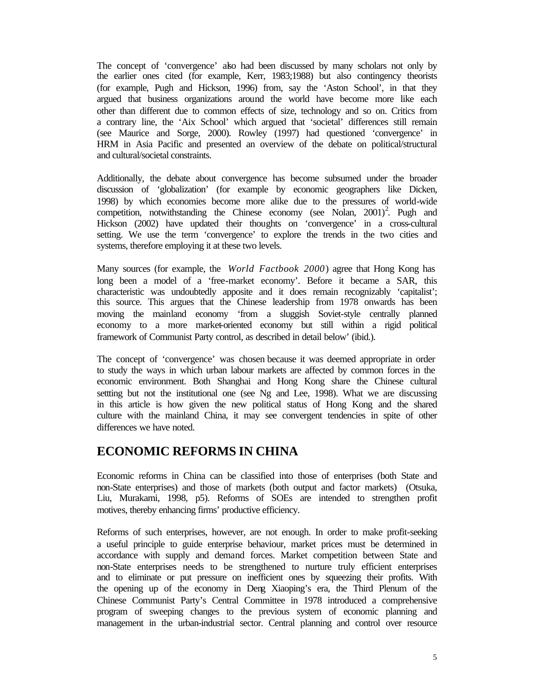The concept of 'convergence' also had been discussed by many scholars not only by the earlier ones cited (for example, Kerr, 1983;1988) but also contingency theorists (for example, Pugh and Hickson, 1996) from, say the 'Aston School', in that they argued that business organizations around the world have become more like each other than different due to common effects of size, technology and so on. Critics from a contrary line, the 'Aix School' which argued that 'societal' differences still remain (see Maurice and Sorge, 2000). Rowley (1997) had questioned 'convergence' in HRM in Asia Pacific and presented an overview of the debate on political/structural and cultural/societal constraints.

Additionally, the debate about convergence has become subsumed under the broader discussion of 'globalization' (for example by economic geographers like Dicken, 1998) by which economies become more alike due to the pressures of world-wide competition, notwithstanding the Chinese economy (see Nolan,  $2001$ )<sup>2</sup>. Pugh and Hickson (2002) have updated their thoughts on 'convergence' in a cross-cultural setting. We use the term 'convergence' to explore the trends in the two cities and systems, therefore employing it at these two levels.

Many sources (for example, the *World Factbook 2000*) agree that Hong Kong has long been a model of a 'free-market economy'. Before it became a SAR, this characteristic was undoubtedly apposite and it does remain recognizably 'capitalist'; this source. This argues that the Chinese leadership from 1978 onwards has been moving the mainland economy 'from a sluggish Soviet-style centrally planned economy to a more market-oriented economy but still within a rigid political framework of Communist Party control, as described in detail below' (ibid.).

The concept of 'convergence' was chosen because it was deemed appropriate in order to study the ways in which urban labour markets are affected by common forces in the economic environment. Both Shanghai and Hong Kong share the Chinese cultural settting but not the institutional one (see Ng and Lee, 1998). What we are discussing in this article is how given the new political status of Hong Kong and the shared culture with the mainland China, it may see convergent tendencies in spite of other differences we have noted.

## **ECONOMIC REFORMS IN CHINA**

Economic reforms in China can be classified into those of enterprises (both State and non-State enterprises) and those of markets (both output and factor markets) (Otsuka, Liu, Murakami, 1998, p5). Reforms of SOEs are intended to strengthen profit motives, thereby enhancing firms' productive efficiency.

Reforms of such enterprises, however, are not enough. In order to make profit-seeking a useful principle to guide enterprise behaviour, market prices must be determined in accordance with supply and demand forces. Market competition between State and non-State enterprises needs to be strengthened to nurture truly efficient enterprises and to eliminate or put pressure on inefficient ones by squeezing their profits. With the opening up of the economy in Deng Xiaoping's era, the Third Plenum of the Chinese Communist Party's Central Committee in 1978 introduced a comprehensive program of sweeping changes to the previous system of economic planning and management in the urban-industrial sector. Central planning and control over resource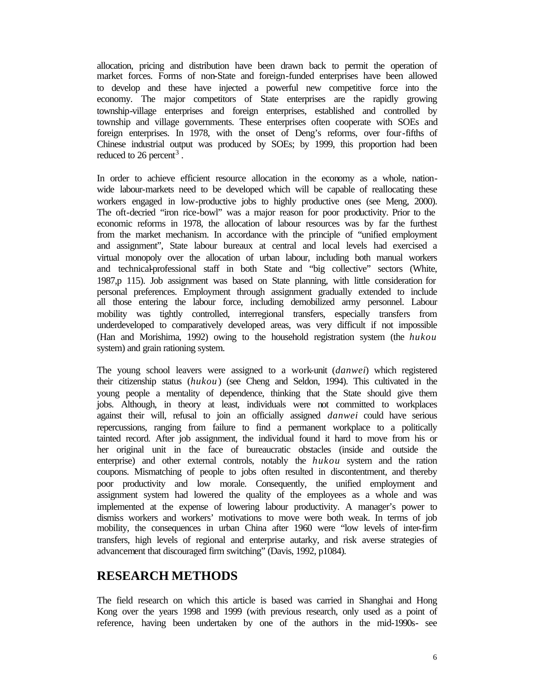allocation, pricing and distribution have been drawn back to permit the operation of market forces. Forms of non-State and foreign-funded enterprises have been allowed to develop and these have injected a powerful new competitive force into the economy. The major competitors of State enterprises are the rapidly growing township-village enterprises and foreign enterprises, established and controlled by township and village governments. These enterprises often cooperate with SOEs and foreign enterprises. In 1978, with the onset of Deng's reforms, over four-fifths of Chinese industrial output was produced by SOEs; by 1999, this proportion had been reduced to 26 percent<sup>3</sup>.

In order to achieve efficient resource allocation in the economy as a whole, nationwide labour-markets need to be developed which will be capable of reallocating these workers engaged in low-productive jobs to highly productive ones (see Meng, 2000). The oft-decried "iron rice-bowl" was a major reason for poor productivity. Prior to the economic reforms in 1978, the allocation of labour resources was by far the furthest from the market mechanism. In accordance with the principle of "unified employment and assignment", State labour bureaux at central and local levels had exercised a virtual monopoly over the allocation of urban labour, including both manual workers and technical-professional staff in both State and "big collective" sectors (White, 1987,p 115). Job assignment was based on State planning, with little consideration for personal preferences. Employment through assignment gradually extended to include all those entering the labour force, including demobilized army personnel. Labour mobility was tightly controlled, interregional transfers, especially transfers from underdeveloped to comparatively developed areas, was very difficult if not impossible (Han and Morishima, 1992) owing to the household registration system (the *hukou* system) and grain rationing system.

The young school leavers were assigned to a work-unit (*danwei*) which registered their citizenship status (*hukou*) (see Cheng and Seldon, 1994). This cultivated in the young people a mentality of dependence, thinking that the State should give them jobs. Although, in theory at least, individuals were not committed to workplaces against their will, refusal to join an officially assigned *danwei* could have serious repercussions, ranging from failure to find a permanent workplace to a politically tainted record. After job assignment, the individual found it hard to move from his or her original unit in the face of bureaucratic obstacles (inside and outside the enterprise) and other external controls, notably the *hukou* system and the ration coupons. Mismatching of people to jobs often resulted in discontentment, and thereby poor productivity and low morale. Consequently, the unified employment and assignment system had lowered the quality of the employees as a whole and was implemented at the expense of lowering labour productivity. A manager's power to dismiss workers and workers' motivations to move were both weak. In terms of job mobility, the consequences in urban China after 1960 were "low levels of inter-firm transfers, high levels of regional and enterprise autarky, and risk averse strategies of advancement that discouraged firm switching" (Davis, 1992, p1084).

## **RESEARCH METHODS**

The field research on which this article is based was carried in Shanghai and Hong Kong over the years 1998 and 1999 (with previous research, only used as a point of reference, having been undertaken by one of the authors in the mid-1990s- see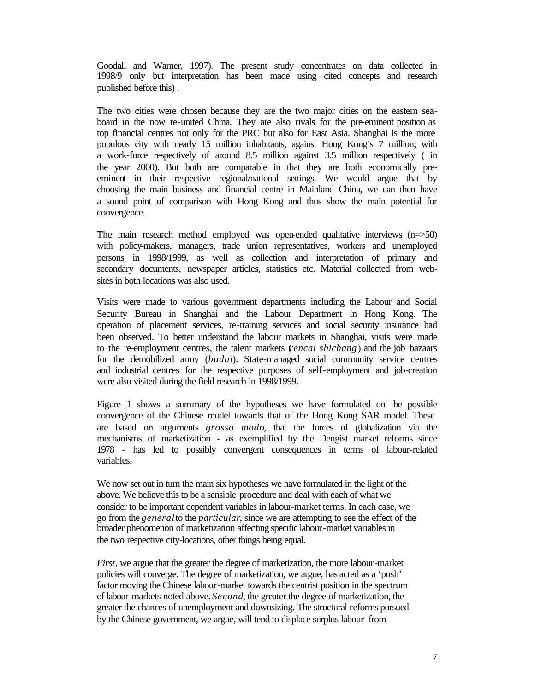Goodall and Warner, 1997). The present study concentrates on data collected in 1998/9 only but interpretation has been made using cited concepts and research published before this) .

The two cities were chosen because they are the two major cities on the eastern seaboard in the now re-united China. They are also rivals for the pre-eminent position as top financial centres not only for the PRC but also for East Asia. Shanghai is the more populous city with nearly 15 million inhabitants, against Hong Kong's 7 million; with a work-force respectively of around 8.5 million against 3.5 million respectively ( in the year 2000). But both are comparable in that they are both economically preeminent in their respective regional/national settings. We would argue that by choosing the main business and financial centre in Mainland China, we can then have a sound point of comparison with Hong Kong and thus show the main potential for convergence.

The main research method employed was open-ended qualitative interviews (n=>50) with policy-makers, managers, trade union representatives, workers and unemployed persons in 1998/1999, as well as collection and interpretation of primary and secondary documents, newspaper articles, statistics etc. Material collected from websites in both locations was also used.

Visits were made to various government departments including the Labour and Social Security Bureau in Shanghai and the Labour Department in Hong Kong. The operation of placement services, re-training services and social security insurance had been observed. To better understand the labour markets in Shanghai, visits were made to the re-employment centres, the talent markets (*rencai shichang*) and the job bazaars for the demobilized army (*budui*). State-managed social community service centres and industrial centres for the respective purposes of self-employment and job-creation were also visited during the field research in 1998/1999.

Figure 1 shows a summary of the hypotheses we have formulated on the possible convergence of the Chinese model towards that of the Hong Kong SAR model. These are based on arguments *grosso modo*, that the forces of globalization via the mechanisms of marketization - as exemplified by the Dengist market reforms since 1978 - has led to possibly convergent consequences in terms of labour-related variables.

We now set out in turn the main six hypotheses we have formulated in the light of the above. We believe this to be a sensible procedure and deal with each of what we consider to be important dependent variables in labour-market terms. In each case, we go from the *general* to the *particular*, since we are attempting to see the effect of the broader phenomenon of marketization affecting specific labour-market variables in the two respective city-locations, other things being equal.

*First*, we argue that the greater the degree of marketization, the more labour-market policies will converge. The degree of marketization, we argue, has acted as a 'push' factor moving the Chinese labour-market towards the centrist position in the spectrum of labour-markets noted above. *Second*, the greater the degree of marketization, the greater the chances of unemployment and downsizing. The structural reforms pursued by the Chinese government, we argue, will tend to displace surplus labour from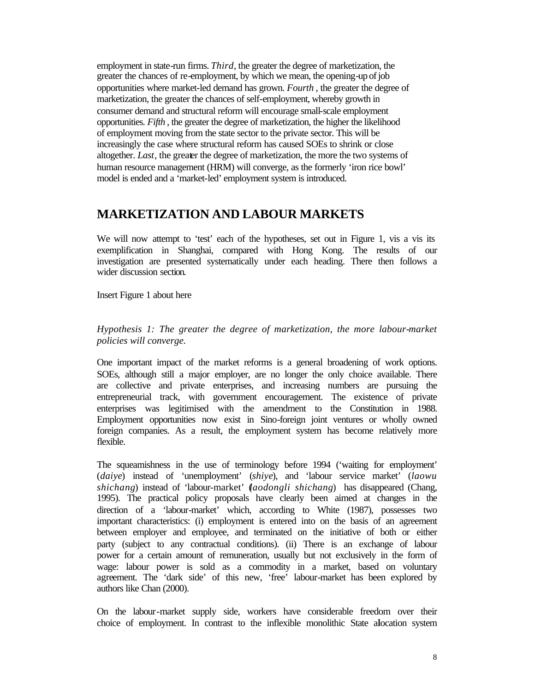employment in state-run firms. *Third*, the greater the degree of marketization, the greater the chances of re-employment, by which we mean, the opening-up of job opportunities where market-led demand has grown. *Fourth* , the greater the degree of marketization, the greater the chances of self-employment, whereby growth in consumer demand and structural reform will encourage small-scale employment opportunities. *Fifth* , the greater the degree of marketization, the higher the likelihood of employment moving from the state sector to the private sector. This will be increasingly the case where structural reform has caused SOEs to shrink or close altogether. *Last*, the greater the degree of marketization, the more the two systems of human resource management (HRM) will converge, as the formerly 'iron rice bowl' model is ended and a 'market-led' employment system is introduced.

#### **MARKETIZATION AND LABOUR MARKETS**

We will now attempt to 'test' each of the hypotheses, set out in Figure 1, vis a vis its exemplification in Shanghai, compared with Hong Kong. The results of our investigation are presented systematically under each heading. There then follows a wider discussion section.

Insert Figure 1 about here

*Hypothesis 1: The greater the degree of marketization, the more labour-market policies will converge.*

One important impact of the market reforms is a general broadening of work options. SOEs, although still a major employer, are no longer the only choice available. There are collective and private enterprises, and increasing numbers are pursuing the entrepreneurial track, with government encouragement. The existence of private enterprises was legitimised with the amendment to the Constitution in 1988. Employment opportunities now exist in Sino-foreign joint ventures or wholly owned foreign companies. As a result, the employment system has become relatively more flexible.

The squeamishness in the use of terminology before 1994 ('waiting for employment' (*daiye*) instead of 'unemployment' (*shiye*), and 'labour service market' (*laowu shichang*) instead of 'labour-market' (*laodongli shichang*) has disappeared (Chang, 1995). The practical policy proposals have clearly been aimed at changes in the direction of a 'labour-market' which, according to White (1987), possesses two important characteristics: (i) employment is entered into on the basis of an agreement between employer and employee, and terminated on the initiative of both or either party (subject to any contractual conditions). (ii) There is an exchange of labour power for a certain amount of remuneration, usually but not exclusively in the form of wage: labour power is sold as a commodity in a market, based on voluntary agreement. The 'dark side' of this new, 'free' labour-market has been explored by authors like Chan (2000).

On the labour-market supply side, workers have considerable freedom over their choice of employment. In contrast to the inflexible monolithic State alocation system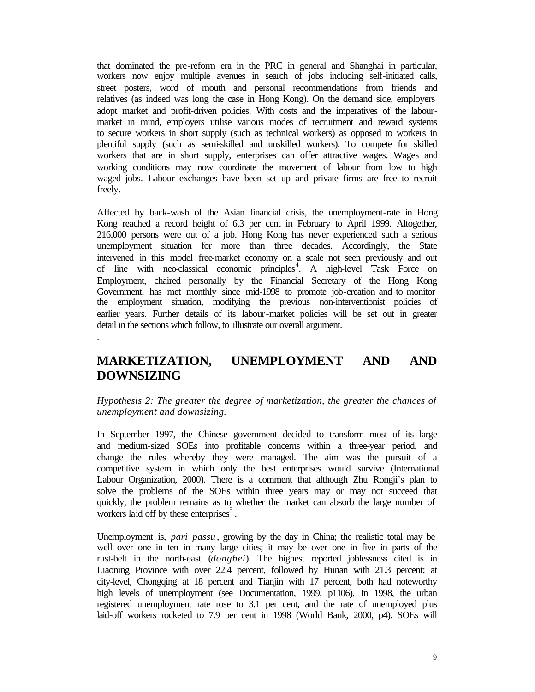that dominated the pre-reform era in the PRC in general and Shanghai in particular, workers now enjoy multiple avenues in search of jobs including self-initiated calls, street posters, word of mouth and personal recommendations from friends and relatives (as indeed was long the case in Hong Kong). On the demand side, employers adopt market and profit-driven policies. With costs and the imperatives of the labourmarket in mind, employers utilise various modes of recruitment and reward systems to secure workers in short supply (such as technical workers) as opposed to workers in plentiful supply (such as semi-skilled and unskilled workers). To compete for skilled workers that are in short supply, enterprises can offer attractive wages. Wages and working conditions may now coordinate the movement of labour from low to high waged jobs*.* Labour exchanges have been set up and private firms are free to recruit freely.

Affected by back-wash of the Asian financial crisis, the unemployment-rate in Hong Kong reached a record height of 6.3 per cent in February to April 1999. Altogether, 216,000 persons were out of a job. Hong Kong has never experienced such a serious unemployment situation for more than three decades. Accordingly, the State intervened in this model free-market economy on a scale not seen previously and out of line with neo-classical economic principles<sup>4</sup>. A high-level Task Force on Employment, chaired personally by the Financial Secretary of the Hong Kong Government, has met monthly since mid-1998 to promote job-creation and to monitor the employment situation, modifying the previous non-interventionist policies of earlier years. Further details of its labour-market policies will be set out in greater detail in the sections which follow, to illustrate our overall argument.

## **MARKETIZATION, UNEMPLOYMENT AND AND DOWNSIZING**

.

#### *Hypothesis 2: The greater the degree of marketization, the greater the chances of unemployment and downsizing.*

In September 1997, the Chinese government decided to transform most of its large and medium-sized SOEs into profitable concerns within a three-year period, and change the rules whereby they were managed. The aim was the pursuit of a competitive system in which only the best enterprises would survive (International Labour Organization, 2000). There is a comment that although Zhu Rongji's plan to solve the problems of the SOEs within three years may or may not succeed that quickly, the problem remains as to whether the market can absorb the large number of workers laid off by these enterprises $<sup>5</sup>$ .</sup>

Unemployment is, *pari passu* , growing by the day in China; the realistic total may be well over one in ten in many large cities; it may be over one in five in parts of the rust-belt in the north-east (*dongbei*). The highest reported joblessness cited is in Liaoning Province with over 22.4 percent, followed by Hunan with 21.3 percent; at city-level, Chongqing at 18 percent and Tianjin with 17 percent, both had noteworthy high levels of unemployment (see Documentation, 1999, p1106). In 1998, the urban registered unemployment rate rose to 3.1 per cent, and the rate of unemployed plus laid-off workers rocketed to 7.9 per cent in 1998 (World Bank, 2000, p4). SOEs will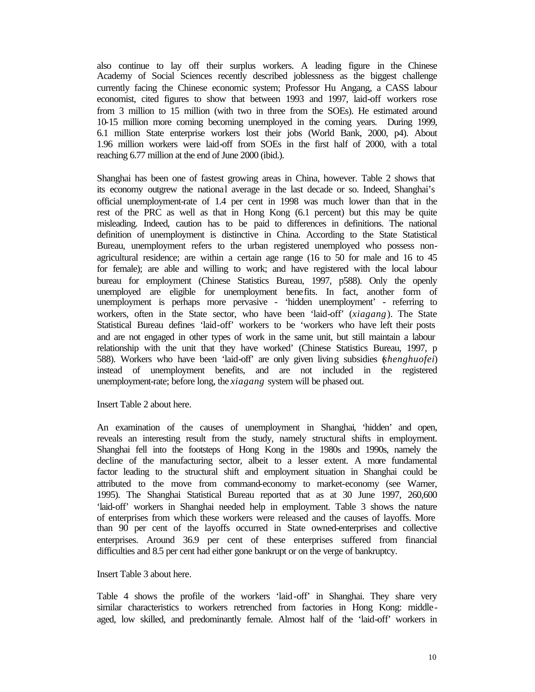also continue to lay off their surplus workers. A leading figure in the Chinese Academy of Social Sciences recently described joblessness as the biggest challenge currently facing the Chinese economic system; Professor Hu Angang, a CASS labour economist, cited figures to show that between 1993 and 1997, laid-off workers rose from 3 million to 15 million (with two in three from the SOEs). He estimated around 10-15 million more coming becoming unemployed in the coming years. During 1999, 6.1 million State enterprise workers lost their jobs (World Bank, 2000, p4). About 1.96 million workers were laid-off from SOEs in the first half of 2000, with a total reaching 6.77 million at the end of June 2000 (ibid.).

Shanghai has been one of fastest growing areas in China, however. Table 2 shows that its economy outgrew the national average in the last decade or so. Indeed, Shanghai's official unemployment-rate of 1.4 per cent in 1998 was much lower than that in the rest of the PRC as well as that in Hong Kong (6.1 percent) but this may be quite misleading. Indeed, caution has to be paid to differences in definitions. The national definition of unemployment is distinctive in China. According to the State Statistical Bureau, unemployment refers to the urban registered unemployed who possess nonagricultural residence; are within a certain age range (16 to 50 for male and 16 to 45 for female); are able and willing to work; and have registered with the local labour bureau for employment (Chinese Statistics Bureau, 1997, p588). Only the openly unemployed are eligible for unemployment benefits. In fact, another form of unemployment is perhaps more pervasive - 'hidden unemployment' - referring to workers, often in the State sector, who have been 'laid-off' (*xiagang*). The State Statistical Bureau defines 'laid-off' workers to be 'workers who have left their posts and are not engaged in other types of work in the same unit, but still maintain a labour relationship with the unit that they have worked' (Chinese Statistics Bureau, 1997, p 588). Workers who have been 'laid-off' are only given living subsidies (*shenghuofei*) instead of unemployment benefits, and are not included in the registered unemployment-rate; before long, the *xiagang* system will be phased out.

Insert Table 2 about here.

An examination of the causes of unemployment in Shanghai, 'hidden' and open, reveals an interesting result from the study, namely structural shifts in employment. Shanghai fell into the footsteps of Hong Kong in the 1980s and 1990s, namely the decline of the manufacturing sector, albeit to a lesser extent. A more fundamental factor leading to the structural shift and employment situation in Shanghai could be attributed to the move from command-economy to market-economy (see Warner, 1995). The Shanghai Statistical Bureau reported that as at 30 June 1997, 260,600 'laid-off' workers in Shanghai needed help in employment. Table 3 shows the nature of enterprises from which these workers were released and the causes of layoffs. More than 90 per cent of the layoffs occurred in State owned-enterprises and collective enterprises. Around 36.9 per cent of these enterprises suffered from financial difficulties and 8.5 per cent had either gone bankrupt or on the verge of bankruptcy.

Insert Table 3 about here.

Table 4 shows the profile of the workers 'laid-off' in Shanghai. They share very similar characteristics to workers retrenched from factories in Hong Kong: middleaged, low skilled, and predominantly female. Almost half of the 'laid-off' workers in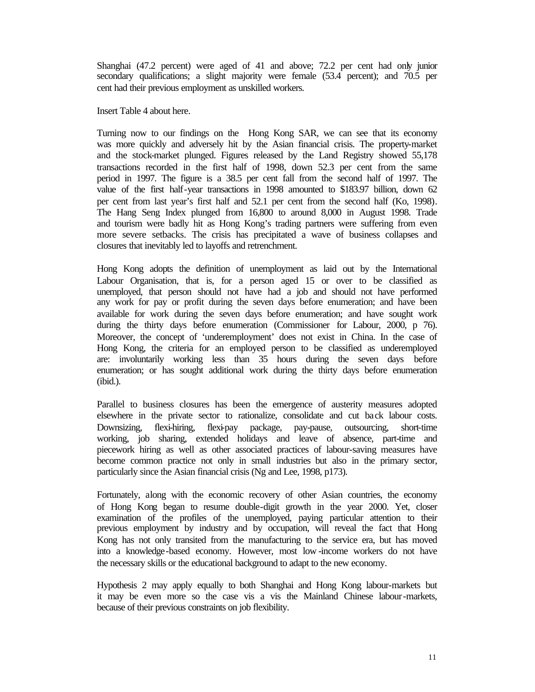Shanghai (47.2 percent) were aged of 41 and above; 72.2 per cent had only junior secondary qualifications; a slight majority were female (53.4 percent); and 70.5 per cent had their previous employment as unskilled workers.

Insert Table 4 about here.

Turning now to our findings on the Hong Kong SAR, we can see that its economy was more quickly and adversely hit by the Asian financial crisis. The property-market and the stock-market plunged. Figures released by the Land Registry showed 55,178 transactions recorded in the first half of 1998, down 52.3 per cent from the same period in 1997. The figure is a 38.5 per cent fall from the second half of 1997. The value of the first half-year transactions in 1998 amounted to \$183.97 billion, down 62 per cent from last year's first half and 52.1 per cent from the second half (Ko, 1998). The Hang Seng Index plunged from 16,800 to around 8,000 in August 1998. Trade and tourism were badly hit as Hong Kong's trading partners were suffering from even more severe setbacks. The crisis has precipitated a wave of business collapses and closures that inevitably led to layoffs and retrenchment.

Hong Kong adopts the definition of unemployment as laid out by the International Labour Organisation, that is, for a person aged 15 or over to be classified as unemployed, that person should not have had a job and should not have performed any work for pay or profit during the seven days before enumeration; and have been available for work during the seven days before enumeration; and have sought work during the thirty days before enumeration (Commissioner for Labour, 2000, p 76). Moreover, the concept of 'underemployment' does not exist in China. In the case of Hong Kong, the criteria for an employed person to be classified as underemployed are: involuntarily working less than 35 hours during the seven days before enumeration; or has sought additional work during the thirty days before enumeration (ibid.).

Parallel to business closures has been the emergence of austerity measures adopted elsewhere in the private sector to rationalize, consolidate and cut back labour costs. Downsizing, flexi-hiring, flexi-pay package, pay-pause, outsourcing, short-time working, job sharing, extended holidays and leave of absence, part-time and piecework hiring as well as other associated practices of labour-saving measures have become common practice not only in small industries but also in the primary sector, particularly since the Asian financial crisis (Ng and Lee, 1998, p173).

Fortunately, along with the economic recovery of other Asian countries, the economy of Hong Kong began to resume double-digit growth in the year 2000. Yet, closer examination of the profiles of the unemployed, paying particular attention to their previous employment by industry and by occupation, will reveal the fact that Hong Kong has not only transited from the manufacturing to the service era, but has moved into a knowledge-based economy. However, most low -income workers do not have the necessary skills or the educational background to adapt to the new economy.

Hypothesis 2 may apply equally to both Shanghai and Hong Kong labour-markets but it may be even more so the case vis a vis the Mainland Chinese labour-markets, because of their previous constraints on job flexibility.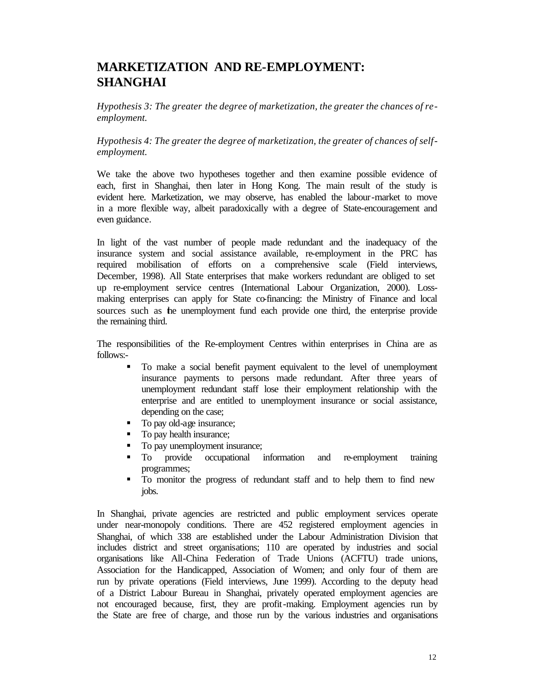## **MARKETIZATION AND RE-EMPLOYMENT: SHANGHAI**

*Hypothesis 3: The greater the degree of marketization, the greater the chances of reemployment.*

*Hypothesis 4: The greater the degree of marketization, the greater of chances of selfemployment.*

We take the above two hypotheses together and then examine possible evidence of each, first in Shanghai, then later in Hong Kong. The main result of the study is evident here. Marketization, we may observe, has enabled the labour-market to move in a more flexible way, albeit paradoxically with a degree of State-encouragement and even guidance.

In light of the vast number of people made redundant and the inadequacy of the insurance system and social assistance available, re-employment in the PRC has required mobilisation of efforts on a comprehensive scale (Field interviews, December, 1998). All State enterprises that make workers redundant are obliged to set up re-employment service centres (International Labour Organization, 2000). Lossmaking enterprises can apply for State co-financing: the Ministry of Finance and local sources such as the unemployment fund each provide one third, the enterprise provide the remaining third.

The responsibilities of the Re-employment Centres within enterprises in China are as follows:-

- ß To make a social benefit payment equivalent to the level of unemployment insurance payments to persons made redundant. After three years of unemployment redundant staff lose their employment relationship with the enterprise and are entitled to unemployment insurance or social assistance, depending on the case;
- To pay old-age insurance;
- To pay health insurance;
- To pay unemployment insurance;
- ß To provide occupational information and re-employment training programmes;
- ß To monitor the progress of redundant staff and to help them to find new jobs.

In Shanghai, private agencies are restricted and public employment services operate under near-monopoly conditions. There are 452 registered employment agencies in Shanghai, of which 338 are established under the Labour Administration Division that includes district and street organisations; 110 are operated by industries and social organisations like All-China Federation of Trade Unions (ACFTU) trade unions, Association for the Handicapped, Association of Women; and only four of them are run by private operations (Field interviews, June 1999). According to the deputy head of a District Labour Bureau in Shanghai, privately operated employment agencies are not encouraged because, first, they are profit-making. Employment agencies run by the State are free of charge, and those run by the various industries and organisations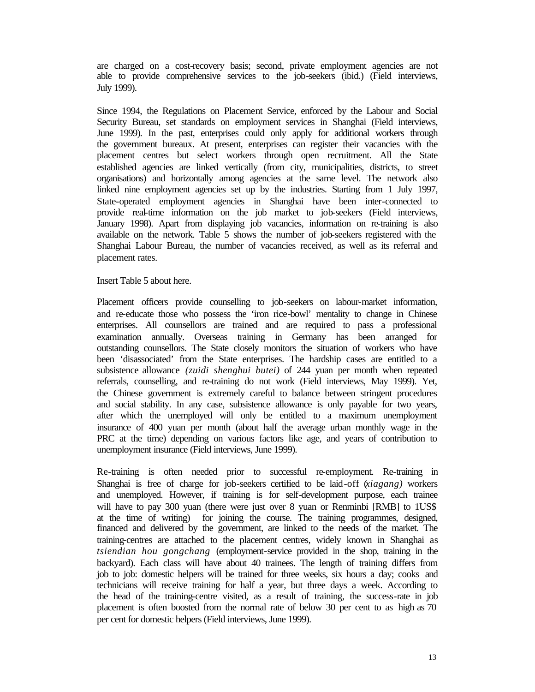are charged on a cost-recovery basis; second, private employment agencies are not able to provide comprehensive services to the job-seekers (ibid.) (Field interviews, July 1999).

Since 1994, the Regulations on Placement Service, enforced by the Labour and Social Security Bureau, set standards on employment services in Shanghai (Field interviews, June 1999). In the past, enterprises could only apply for additional workers through the government bureaux. At present, enterprises can register their vacancies with the placement centres but select workers through open recruitment. All the State established agencies are linked vertically (from city, municipalities, districts, to street organisations) and horizontally among agencies at the same level. The network also linked nine employment agencies set up by the industries. Starting from 1 July 1997, State-operated employment agencies in Shanghai have been inter-connected to provide real-time information on the job market to job-seekers (Field interviews, January 1998). Apart from displaying job vacancies, information on re-training is also available on the network. Table 5 shows the number of job-seekers registered with the Shanghai Labour Bureau, the number of vacancies received, as well as its referral and placement rates.

Insert Table 5 about here.

Placement officers provide counselling to job-seekers on labour-market information, and re-educate those who possess the 'iron rice-bowl' mentality to change in Chinese enterprises. All counsellors are trained and are required to pass a professional examination annually. Overseas training in Germany has been arranged for outstanding counsellors. The State closely monitors the situation of workers who have been 'disassociated' from the State enterprises. The hardship cases are entitled to a subsistence allowance *(zuidi shenghui butei)* of 244 yuan per month when repeated referrals, counselling, and re-training do not work (Field interviews, May 1999). Yet, the Chinese government is extremely careful to balance between stringent procedures and social stability. In any case, subsistence allowance is only payable for two years, after which the unemployed will only be entitled to a maximum unemployment insurance of 400 yuan per month (about half the average urban monthly wage in the PRC at the time) depending on various factors like age, and years of contribution to unemployment insurance (Field interviews, June 1999).

Re-training is often needed prior to successful re-employment. Re-training in Shanghai is free of charge for job-seekers certified to be laid-off (*xiagang)* workers and unemployed. However, if training is for self-development purpose, each trainee will have to pay 300 yuan (there were just over 8 yuan or Renminbi [RMB] to 1 US\$ at the time of writing) for joining the course. The training programmes, designed, financed and delivered by the government, are linked to the needs of the market. The training-centres are attached to the placement centres, widely known in Shanghai as *tsiendian hou gongchang* (employment-service provided in the shop, training in the backyard). Each class will have about 40 trainees. The length of training differs from job to job: domestic helpers will be trained for three weeks, six hours a day; cooks and technicians will receive training for half a year, but three days a week. According to the head of the training-centre visited, as a result of training, the success-rate in job placement is often boosted from the normal rate of below 30 per cent to as high as 70 per cent for domestic helpers (Field interviews, June 1999).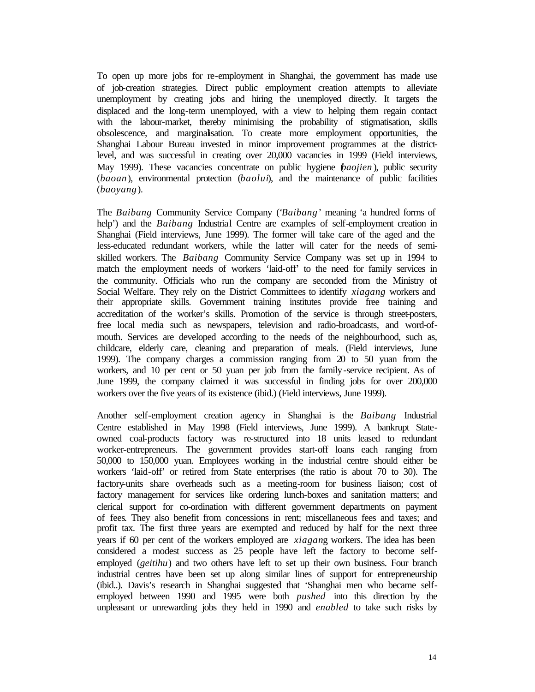To open up more jobs for re-employment in Shanghai, the government has made use of job-creation strategies. Direct public employment creation attempts to alleviate unemployment by creating jobs and hiring the unemployed directly. It targets the displaced and the long-term unemployed, with a view to helping them regain contact with the labour-market, thereby minimising the probability of stigmatisation, skills obsolescence, and marginalisation. To create more employment opportunities, the Shanghai Labour Bureau invested in minor improvement programmes at the districtlevel, and was successful in creating over 20,000 vacancies in 1999 (Field interviews, May 1999). These vacancies concentrate on public hygiene (*baojien* ), public security (*baoan*), environmental protection (*baolui*), and the maintenance of public facilities (*baoyang*).

The *Baibang* Community Service Company ('*Baibang*' meaning 'a hundred forms of help') and the *Baibang* Industrial Centre are examples of self-employment creation in Shanghai (Field interviews, June 1999). The former will take care of the aged and the less-educated redundant workers, while the latter will cater for the needs of semiskilled workers. The *Baibang* Community Service Company was set up in 1994 to match the employment needs of workers 'laid-off' to the need for family services in the community. Officials who run the company are seconded from the Ministry of Social Welfare. They rely on the District Committees to identify *xiagang* workers and their appropriate skills. Government training institutes provide free training and accreditation of the worker's skills. Promotion of the service is through street-posters, free local media such as newspapers, television and radio-broadcasts, and word-ofmouth. Services are developed according to the needs of the neighbourhood, such as, childcare, elderly care, cleaning and preparation of meals. (Field interviews, June 1999). The company charges a commission ranging from 20 to 50 yuan from the workers, and 10 per cent or 50 yuan per job from the family-service recipient. As of June 1999, the company claimed it was successful in finding jobs for over 200,000 workers over the five years of its existence (ibid.) (Field interviews, June 1999).

Another self-employment creation agency in Shanghai is the *Baibang* Industrial Centre established in May 1998 (Field interviews, June 1999). A bankrupt Stateowned coal-products factory was re-structured into 18 units leased to redundant worker-entrepreneurs. The government provides start-off loans each ranging from 50,000 to 150,000 yuan. Employees working in the industrial centre should either be workers 'laid-off' or retired from State enterprises (the ratio is about 70 to 30). The factory-units share overheads such as a meeting-room for business liaison; cost of factory management for services like ordering lunch-boxes and sanitation matters; and clerical support for co-ordination with different government departments on payment of fees. They also benefit from concessions in rent; miscellaneous fees and taxes; and profit tax. The first three years are exempted and reduced by half for the next three years if 60 per cent of the workers employed are *xiagan*g workers. The idea has been considered a modest success as 25 people have left the factory to become selfemployed (*geitihu*) and two others have left to set up their own business. Four branch industrial centres have been set up along similar lines of support for entrepreneurship (ibid..). Davis's research in Shanghai suggested that 'Shanghai men who became selfemployed between 1990 and 1995 were both *pushed* into this direction by the unpleasant or unrewarding jobs they held in 1990 and *enabled* to take such risks by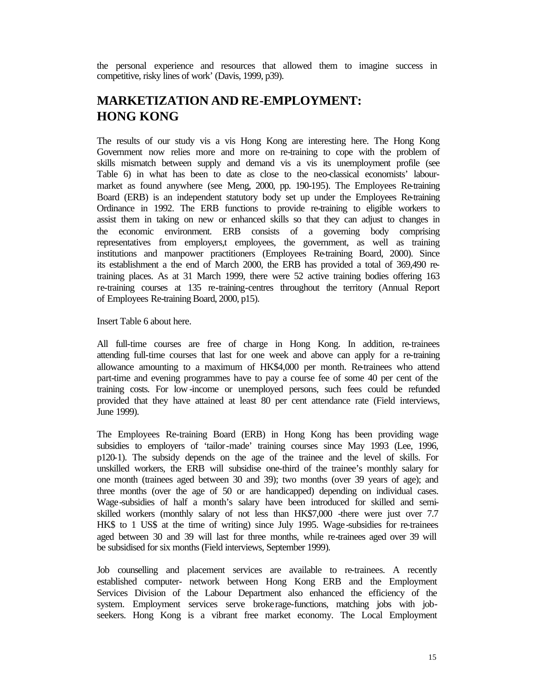the personal experience and resources that allowed them to imagine success in competitive, risky lines of work' (Davis, 1999, p39).

## **MARKETIZATION AND RE-EMPLOYMENT: HONG KONG**

The results of our study vis a vis Hong Kong are interesting here. The Hong Kong Government now relies more and more on re-training to cope with the problem of skills mismatch between supply and demand vis a vis its unemployment profile (see Table 6) in what has been to date as close to the neo-classical economists' labourmarket as found anywhere (see Meng, 2000, pp. 190-195). The Employees Re-training Board (ERB) is an independent statutory body set up under the Employees Re-training Ordinance in 1992. The ERB functions to provide re-training to eligible workers to assist them in taking on new or enhanced skills so that they can adjust to changes in the economic environment. ERB consists of a governing body comprising representatives from employers,t employees, the government, as well as training institutions and manpower practitioners (Employees Re-training Board, 2000). Since its establishment a the end of March 2000, the ERB has provided a total of 369,490 retraining places. As at 31 March 1999, there were 52 active training bodies offering 163 re-training courses at 135 re-training-centres throughout the territory (Annual Report of Employees Re-training Board, 2000, p15).

Insert Table 6 about here.

All full-time courses are free of charge in Hong Kong. In addition, re-trainees attending full-time courses that last for one week and above can apply for a re-training allowance amounting to a maximum of HK\$4,000 per month. Re-trainees who attend part-time and evening programmes have to pay a course fee of some 40 per cent of the training costs. For low -income or unemployed persons, such fees could be refunded provided that they have attained at least 80 per cent attendance rate (Field interviews, June 1999).

The Employees Re-training Board (ERB) in Hong Kong has been providing wage subsidies to employers of 'tailor-made' training courses since May 1993 (Lee, 1996, p120-1). The subsidy depends on the age of the trainee and the level of skills. For unskilled workers, the ERB will subsidise one-third of the trainee's monthly salary for one month (trainees aged between 30 and 39); two months (over 39 years of age); and three months (over the age of 50 or are handicapped) depending on individual cases. Wage-subsidies of half a month's salary have been introduced for skilled and semiskilled workers (monthly salary of not less than HK\$7,000 -there were just over 7.7 HK\$ to 1 US\$ at the time of writing) since July 1995. Wage-subsidies for re-trainees aged between 30 and 39 will last for three months, while re-trainees aged over 39 will be subsidised for six months (Field interviews, September 1999).

Job counselling and placement services are available to re-trainees. A recently established computer- network between Hong Kong ERB and the Employment Services Division of the Labour Department also enhanced the efficiency of the system. Employment services serve brokerage-functions, matching jobs with jobseekers. Hong Kong is a vibrant free market economy. The Local Employment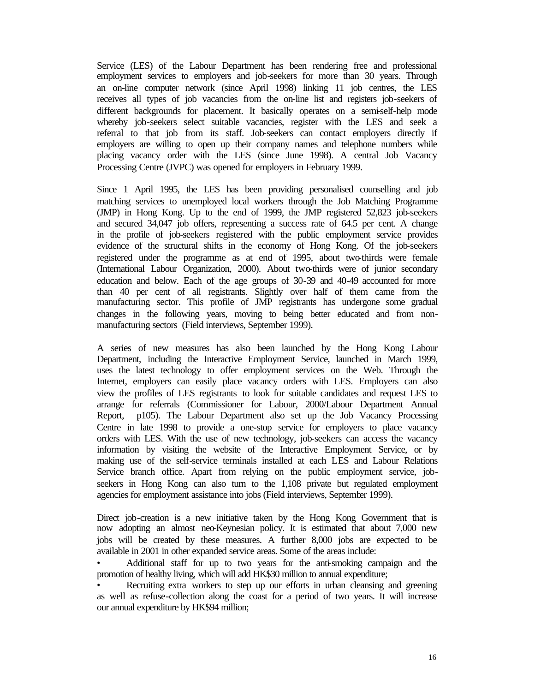Service (LES) of the Labour Department has been rendering free and professional employment services to employers and job-seekers for more than 30 years. Through an on-line computer network (since April 1998) linking 11 job centres, the LES receives all types of job vacancies from the on-line list and registers job-seekers of different backgrounds for placement. It basically operates on a semi-self-help mode whereby job-seekers select suitable vacancies, register with the LES and seek a referral to that job from its staff. Job-seekers can contact employers directly if employers are willing to open up their company names and telephone numbers while placing vacancy order with the LES (since June 1998). A central Job Vacancy Processing Centre (JVPC) was opened for employers in February 1999.

Since 1 April 1995, the LES has been providing personalised counselling and job matching services to unemployed local workers through the Job Matching Programme (JMP) in Hong Kong. Up to the end of 1999, the JMP registered 52,823 job-seekers and secured 34,047 job offers, representing a success rate of 64.5 per cent. A change in the profile of job-seekers registered with the public employment service provides evidence of the structural shifts in the economy of Hong Kong. Of the job-seekers registered under the programme as at end of 1995, about two-thirds were female (International Labour Organization, 2000). About two-thirds were of junior secondary education and below. Each of the age groups of 30-39 and 40-49 accounted for more than 40 per cent of all registrants. Slightly over half of them came from the manufacturing sector. This profile of JMP registrants has undergone some gradual changes in the following years, moving to being better educated and from nonmanufacturing sectors (Field interviews, September 1999).

A series of new measures has also been launched by the Hong Kong Labour Department, including the Interactive Employment Service, launched in March 1999, uses the latest technology to offer employment services on the Web. Through the Internet, employers can easily place vacancy orders with LES. Employers can also view the profiles of LES registrants to look for suitable candidates and request LES to arrange for referrals (Commissioner for Labour, 2000/Labour Department Annual Report, p105). The Labour Department also set up the Job Vacancy Processing Centre in late 1998 to provide a one-stop service for employers to place vacancy orders with LES. With the use of new technology, job-seekers can access the vacancy information by visiting the website of the Interactive Employment Service, or by making use of the self-service terminals installed at each LES and Labour Relations Service branch office. Apart from relying on the public employment service, jobseekers in Hong Kong can also turn to the 1,108 private but regulated employment agencies for employment assistance into jobs (Field interviews, September 1999).

Direct job-creation is a new initiative taken by the Hong Kong Government that is now adopting an almost neo-Keynesian policy. It is estimated that about 7,000 new jobs will be created by these measures. A further 8,000 jobs are expected to be available in 2001 in other expanded service areas. Some of the areas include:

• Additional staff for up to two years for the anti-smoking campaign and the promotion of healthy living, which will add HK\$30 million to annual expenditure;

• Recruiting extra workers to step up our efforts in urban cleansing and greening as well as refuse-collection along the coast for a period of two years. It will increase our annual expenditure by HK\$94 million;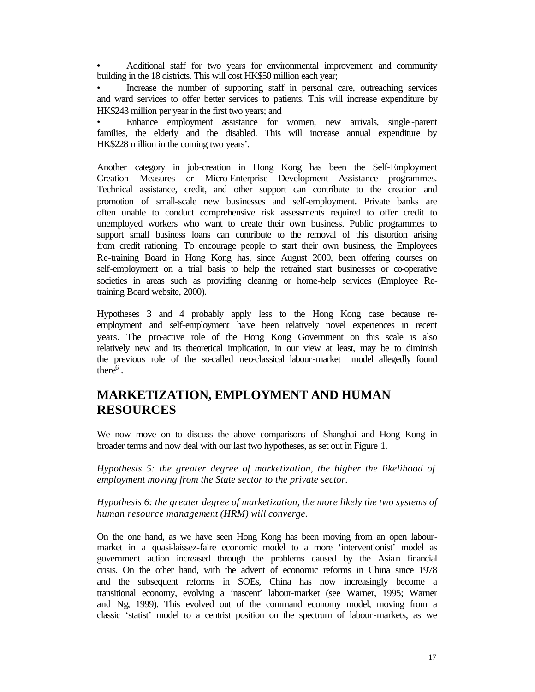**•** Additional staff for two years for environmental improvement and community building in the 18 districts. This will cost HK\$50 million each year;

• Increase the number of supporting staff in personal care, outreaching services and ward services to offer better services to patients. This will increase expenditure by HK\$243 million per year in the first two years; and

• Enhance employment assistance for women, new arrivals, single -parent families, the elderly and the disabled. This will increase annual expenditure by HK\$228 million in the coming two years'.

Another category in job-creation in Hong Kong has been the Self-Employment Creation Measures or Micro-Enterprise Development Assistance programmes. Technical assistance, credit, and other support can contribute to the creation and promotion of small-scale new businesses and self-employment. Private banks are often unable to conduct comprehensive risk assessments required to offer credit to unemployed workers who want to create their own business. Public programmes to support small business loans can contribute to the removal of this distortion arising from credit rationing. To encourage people to start their own business, the Employees Re-training Board in Hong Kong has, since August 2000, been offering courses on self-employment on a trial basis to help the retrained start businesses or co-operative societies in areas such as providing cleaning or home-help services (Employee Retraining Board website, 2000).

Hypotheses 3 and 4 probably apply less to the Hong Kong case because reemployment and self-employment have been relatively novel experiences in recent years. The pro-active role of the Hong Kong Government on this scale is also relatively new and its theoretical implication, in our view at least, may be to diminish the previous role of the so-called neo-classical labour-market model allegedly found there $\tilde{e}^6$ .

## **MARKETIZATION, EMPLOYMENT AND HUMAN RESOURCES**

We now move on to discuss the above comparisons of Shanghai and Hong Kong in broader terms and now deal with our last two hypotheses, as set out in Figure 1.

*Hypothesis 5: the greater degree of marketization, the higher the likelihood of employment moving from the State sector to the private sector.*

*Hypothesis 6: the greater degree of marketization, the more likely the two systems of human resource management (HRM) will converge.*

On the one hand, as we have seen Hong Kong has been moving from an open labourmarket in a quasi-laissez-faire economic model to a more 'interventionist' model as government action increased through the problems caused by the Asian financial crisis. On the other hand, with the advent of economic reforms in China since 1978 and the subsequent reforms in SOEs, China has now increasingly become a transitional economy, evolving a 'nascent' labour-market (see Warner, 1995; Warner and Ng, 1999). This evolved out of the command economy model, moving from a classic 'statist' model to a centrist position on the spectrum of labour-markets, as we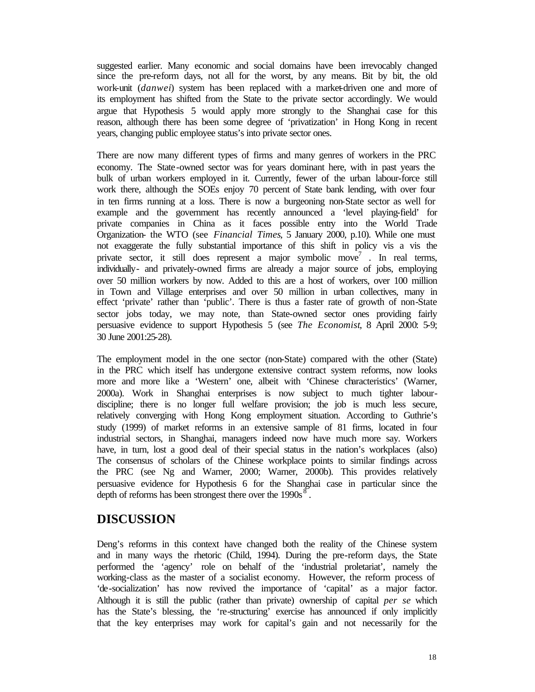suggested earlier. Many economic and social domains have been irrevocably changed since the pre-reform days, not all for the worst, by any means. Bit by bit, the old work-unit (*danwei*) system has been replaced with a market-driven one and more of its employment has shifted from the State to the private sector accordingly. We would argue that Hypothesis 5 would apply more strongly to the Shanghai case for this reason, although there has been some degree of 'privatization' in Hong Kong in recent years, changing public employee status's into private sector ones.

There are now many different types of firms and many genres of workers in the PRC economy. The State-owned sector was for years dominant here, with in past years the bulk of urban workers employed in it. Currently, fewer of the urban labour-force still work there, although the SOEs enjoy 70 percent of State bank lending, with over four in ten firms running at a loss. There is now a burgeoning non-State sector as well for example and the government has recently announced a 'level playing-field' for private companies in China as it faces possible entry into the World Trade Organization- the WTO (see *Financial Times*, 5 January 2000, p.10). While one must not exaggerate the fully substantial importance of this shift in policy vis a vis the private sector, it still does represent a major symbolic move<sup>7</sup>. In real terms, individually- and privately-owned firms are already a major source of jobs, employing over 50 million workers by now. Added to this are a host of workers, over 100 million in Town and Village enterprises and over 50 million in urban collectives, many in effect 'private' rather than 'public'. There is thus a faster rate of growth of non-State sector jobs today, we may note, than State-owned sector ones providing fairly persuasive evidence to support Hypothesis 5 (see *The Economist*, 8 April 2000: 5-9; 30 June 2001:25-28).

The employment model in the one sector (non-State) compared with the other (State) in the PRC which itself has undergone extensive contract system reforms, now looks more and more like a 'Western' one, albeit with 'Chinese characteristics' (Warner, 2000a). Work in Shanghai enterprises is now subject to much tighter labourdiscipline; there is no longer full welfare provision; the job is much less secure, relatively converging with Hong Kong employment situation. According to Guthrie's study (1999) of market reforms in an extensive sample of 81 firms, located in four industrial sectors, in Shanghai, managers indeed now have much more say. Workers have, in turn, lost a good deal of their special status in the nation's workplaces (also) The consensus of scholars of the Chinese workplace points to similar findings across the PRC (see Ng and Warner, 2000; Warner, 2000b). This provides relatively persuasive evidence for Hypothesis 6 for the Shanghai case in particular since the depth of reforms has been strongest there over the  $1990s<sup>8</sup>$ .

## **DISCUSSION**

Deng's reforms in this context have changed both the reality of the Chinese system and in many ways the rhetoric (Child, 1994). During the pre-reform days, the State performed the 'agency' role on behalf of the 'industrial proletariat', namely the working-class as the master of a socialist economy. However, the reform process of 'de-socialization' has now revived the importance of 'capital' as a major factor. Although it is still the public (rather than private) ownership of capital *per se* which has the State's blessing, the 're-structuring' exercise has announced if only implicitly that the key enterprises may work for capital's gain and not necessarily for the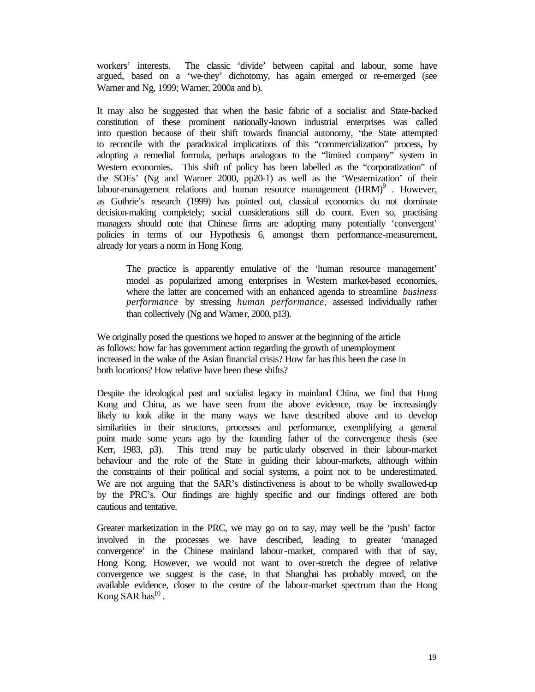workers' interests. The classic 'divide' between capital and labour, some have argued, based on a 'we-they' dichotomy, has again emerged or re-emerged (see Warner and Ng, 1999; Warner, 2000a and b).

It may also be suggested that when the basic fabric of a socialist and State-backed constitution of these prominent nationally-known industrial enterprises was called into question because of their shift towards financial autonomy, 'the State attempted to reconcile with the paradoxical implications of this "commercialization" process, by adopting a remedial formula, perhaps analogous to the "limited company" system in Western economies. This shift of policy has been labelled as the "corporatization" of the SOEs' (Ng and Warner 2000, pp20-1) as well as the 'Westernization' of their labour-management relations and human resource management  $(HRM)^9$ . However, as Guthrie's research (1999) has pointed out, classical economics do not dominate decision-making completely; social considerations still do count. Even so, practising managers should note that Chinese firms are adopting many potentially 'convergent' policies in terms of our Hypothesis 6, amongst them performance-measurement, already for years a norm in Hong Kong.

The practice is apparently emulative of the 'human resource management' model as popularized among enterprises in Western market-based economies, where the latter are concerned with an enhanced agenda to streamline *business performance* by stressing *human performance,* assessed individually rather than collectively (Ng and Warner, 2000, p13).

We originally posed the questions we hoped to answer at the beginning of the article as follows: how far has government action regarding the growth of unemployment increased in the wake of the Asian financial crisis? How far has this been the case in both locations? How relative have been these shifts?

Despite the ideological past and socialist legacy in mainland China, we find that Hong Kong and China, as we have seen from the above evidence, may be increasingly likely to look alike in the many ways we have described above and to develop similarities in their structures, processes and performance, exemplifying a general point made some years ago by the founding father of the convergence thesis (see Kerr, 1983, p3). This trend may be partic ularly observed in their labour-market behaviour and the role of the State in guiding their labour-markets, although within the constraints of their political and social systems, a point not to be underestimated. We are not arguing that the SAR's distinctiveness is about to be wholly swallowed-up by the PRC's. Our findings are highly specific and our findings offered are both cautious and tentative.

Greater marketization in the PRC, we may go on to say, may well be the 'push' factor involved in the processes we have described, leading to greater 'managed convergence' in the Chinese mainland labour-market, compared with that of say, Hong Kong. However, we would not want to over-stretch the degree of relative convergence we suggest is the case, in that Shanghai has probably moved, on the available evidence, closer to the centre of the labour-market spectrum than the Hong Kong SAR has $^{10}$ .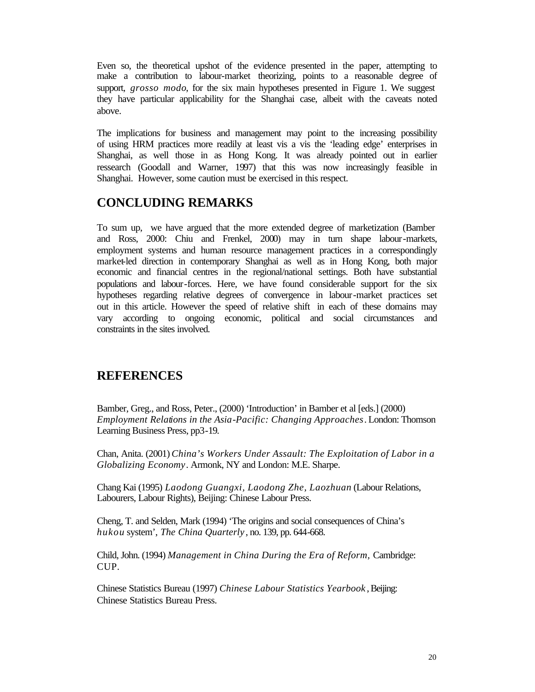Even so, the theoretical upshot of the evidence presented in the paper, attempting to make a contribution to labour-market theorizing, points to a reasonable degree of support, *grosso modo*, for the six main hypotheses presented in Figure 1. We suggest they have particular applicability for the Shanghai case, albeit with the caveats noted above.

The implications for business and management may point to the increasing possibility of using HRM practices more readily at least vis a vis the 'leading edge' enterprises in Shanghai, as well those in as Hong Kong. It was already pointed out in earlier ressearch (Goodall and Warner, 1997) that this was now increasingly feasible in Shanghai. However, some caution must be exercised in this respect.

## **CONCLUDING REMARKS**

To sum up, we have argued that the more extended degree of marketization (Bamber and Ross, 2000: Chiu and Frenkel, 2000) may in turn shape labour-markets, employment systems and human resource management practices in a correspondingly market-led direction in contemporary Shanghai as well as in Hong Kong, both major economic and financial centres in the regional/national settings. Both have substantial populations and labour-forces. Here, we have found considerable support for the six hypotheses regarding relative degrees of convergence in labour-market practices set out in this article. However the speed of relative shift in each of these domains may vary according to ongoing economic, political and social circumstances and constraints in the sites involved.

## **REFERENCES**

Bamber, Greg., and Ross, Peter., (2000) 'Introduction' in Bamber et al [eds.] (2000) *Employment Relations in the Asia-Pacific: Changing Approaches*. London: Thomson Learning Business Press, pp3-19.

Chan, Anita. (2001) *China's Workers Under Assault: The Exploitation of Labor in a Globalizing Economy*. Armonk, NY and London: M.E. Sharpe.

Chang Kai (1995) *Laodong Guangxi, Laodong Zhe, Laozhuan* (Labour Relations, Labourers, Labour Rights), Beijing: Chinese Labour Press.

Cheng, T. and Selden, Mark (1994) 'The origins and social consequences of China's *hukou* system', *The China Quarterly* , no. 139, pp. 644-668.

Child, John. (1994) *Management in China During the Era of Reform,* Cambridge: CUP.

Chinese Statistics Bureau (1997) *Chinese Labour Statistics Yearbook* , Beijing: Chinese Statistics Bureau Press.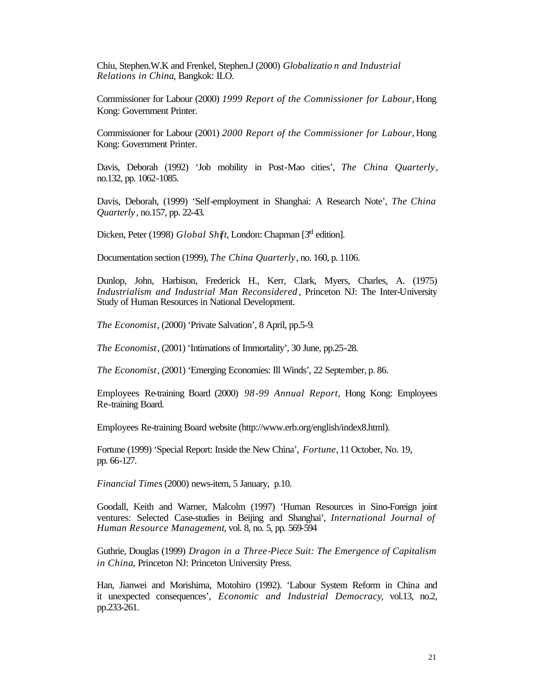Chiu, Stephen.W.K and Frenkel, Stephen.J (2000) *Globalizatio n and Industrial Relations in China*, Bangkok: ILO.

Commissioner for Labour (2000) *1999 Report of the Commissioner for Labour*, Hong Kong: Government Printer.

Commissioner for Labour (2001) *2000 Report of the Commissioner for Labour*, Hong Kong: Government Printer.

Davis, Deborah (1992) 'Job mobility in Post-Mao cities', *The China Quarterly*, no.132, pp. 1062-1085.

Davis, Deborah, (1999) 'Self-employment in Shanghai: A Research Note', *The China Quarterly* , no.157, pp. 22-43.

Dicken, Peter (1998) *Global Shift*, London: Chapman [3<sup>rd</sup> edition].

Documentation section (1999), *The China Quarterly*, no. 160, p. 1106.

Dunlop, John, Harbison, Frederick H., Kerr, Clark, Myers, Charles, A. (1975) *Industrialism and Industrial Man Reconsidered* , Princeton NJ: The Inter-University Study of Human Resources in National Development.

*The Economist*, (2000) 'Private Salvation', 8 April, pp.5-9.

*The Economist*, (2001) 'Intimations of Immortality', 30 June, pp.25-28.

*The Economist*, (2001) 'Emerging Economies: Ill Winds', 22 September, p. 86.

Employees Re-training Board (2000) *98-99 Annual Report*, Hong Kong: Employees Re-training Board.

Employees Re-training Board website (http://www.erb.org/english/index8.html).

Fortune (1999) 'Special Report: Inside the New China', *Fortune*, 11 October, No. 19, pp. 66-127.

*Financial Times* (2000) news-item, 5 January, p.10.

Goodall, Keith and Warner, Malcolm (1997) 'Human Resources in Sino-Foreign joint ventures: Selected Case-studies in Beijing and Shanghai', *International Journal of Human Resource Management*, vol. 8, no. 5, pp. 569-594

Guthrie, Douglas (1999) *Dragon in a Three-Piece Suit: The Emergence of Capitalism in China*, Princeton NJ: Princeton University Press.

Han, Jianwei and Morishima, Motohiro (1992). 'Labour System Reform in China and it unexpected consequences', *Economic and Industrial Democracy*, vol.13, no.2, pp.233-261.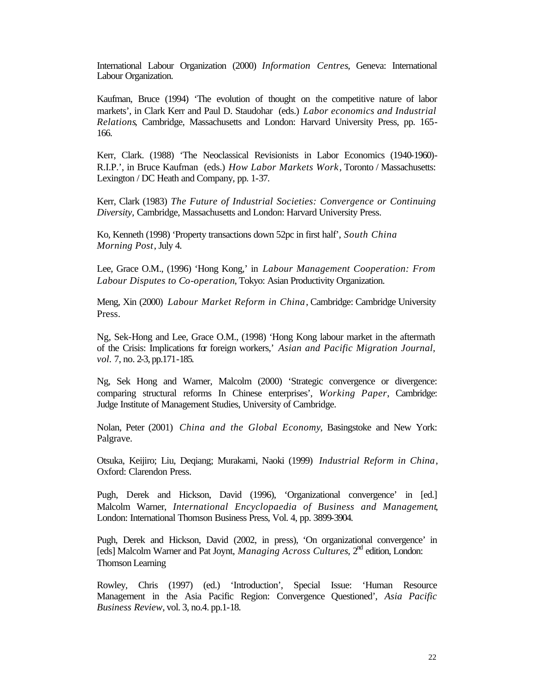International Labour Organization (2000) *Information Centres*, Geneva: International Labour Organization.

Kaufman, Bruce (1994) 'The evolution of thought on the competitive nature of labor markets', in Clark Kerr and Paul D. Staudohar (eds.) *Labor economics and Industrial Relations*, Cambridge, Massachusetts and London: Harvard University Press, pp. 165- 166.

Kerr, Clark. (1988) 'The Neoclassical Revisionists in Labor Economics (1940-1960)- R.I.P.', in Bruce Kaufman (eds.) *How Labor Markets Work*, Toronto / Massachusetts: Lexington / DC Heath and Company, pp. 1-37.

Kerr, Clark (1983) *The Future of Industrial Societies: Convergence or Continuing Diversity,* Cambridge, Massachusetts and London: Harvard University Press.

Ko, Kenneth (1998) 'Property transactions down 52pc in first half', *South China Morning Post*, July 4.

Lee, Grace O.M., (1996) 'Hong Kong,' in *Labour Management Cooperation: From Labour Disputes to Co-operation*, Tokyo: Asian Productivity Organization.

Meng, Xin (2000) *Labour Market Reform in China*, Cambridge: Cambridge University Press.

Ng, Sek-Hong and Lee, Grace O.M., (1998) 'Hong Kong labour market in the aftermath of the Crisis: Implications for foreign workers,' *Asian and Pacific Migration Journal, vol.* 7, no. 2-3, pp.171-185.

Ng, Sek Hong and Warner, Malcolm (2000) 'Strategic convergence or divergence: comparing structural reforms In Chinese enterprises', *Working Paper*, Cambridge: Judge Institute of Management Studies, University of Cambridge.

Nolan, Peter (2001) *China and the Global Economy*, Basingstoke and New York: Palgrave.

Otsuka, Keijiro; Liu, Deqiang; Murakami, Naoki (1999) *Industrial Reform in China*, Oxford: Clarendon Press.

Pugh, Derek and Hickson, David (1996), 'Organizational convergence' in [ed.] Malcolm Warner, *International Encyclopaedia of Business and Management*, London: International Thomson Business Press, Vol. 4, pp. 3899-3904.

Pugh, Derek and Hickson, David (2002, in press), 'On organizational convergence' in [eds] Malcolm Warner and Pat Joynt, *Managing Across Cultures*, 2nd edition, London: Thomson Learning

Rowley, Chris (1997) (ed.) 'Introduction', Special Issue: 'Human Resource Management in the Asia Pacific Region: Convergence Questioned', *Asia Pacific Business Review*, vol. 3, no.4. pp.1-18.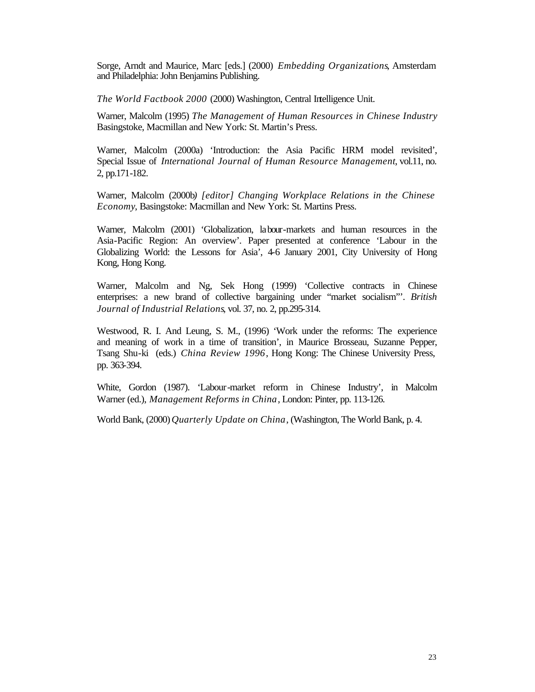Sorge, Arndt and Maurice, Marc [eds.] (2000) *Embedding Organizations*, Amsterdam and Philadelphia: John Benjamins Publishing.

*The World Factbook 2000* (2000) Washington, Central Intelligence Unit.

Warner, Malcolm (1995) *The Management of Human Resources in Chinese Industry* Basingstoke, Macmillan and New York: St. Martin's Press.

Warner, Malcolm (2000a) 'Introduction: the Asia Pacific HRM model revisited', Special Issue of *International Journal of Human Resource Management*, vol.11, no. 2, pp.171-182.

Warner, Malcolm (2000b*) [editor] Changing Workplace Relations in the Chinese Economy*, Basingstoke: Macmillan and New York: St. Martins Press.

Warner, Malcolm (2001) 'Globalization, labour-markets and human resources in the Asia-Pacific Region: An overview'. Paper presented at conference 'Labour in the Globalizing World: the Lessons for Asia', 4-6 January 2001, City University of Hong Kong, Hong Kong.

Warner, Malcolm and Ng, Sek Hong (1999) 'Collective contracts in Chinese enterprises: a new brand of collective bargaining under "market socialism"'. *British Journal of Industrial Relations*, vol. 37, no. 2, pp.295-314.

Westwood, R. I. And Leung, S. M., (1996) 'Work under the reforms: The experience and meaning of work in a time of transition', in Maurice Brosseau, Suzanne Pepper, Tsang Shu-ki (eds.) *China Review 1996*, Hong Kong: The Chinese University Press, pp. 363-394.

White, Gordon (1987). 'Labour-market reform in Chinese Industry', in Malcolm Warner (ed.), *Management Reforms in China*, London: Pinter, pp. 113-126.

World Bank, (2000) *Quarterly Update on China*, (Washington, The World Bank, p. 4.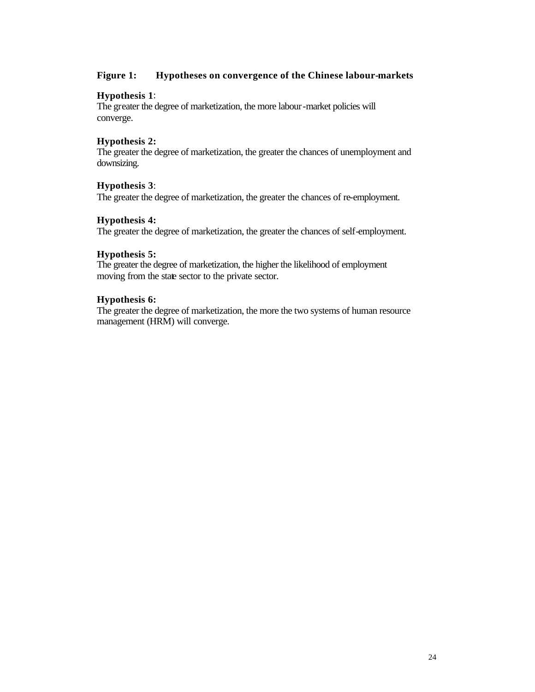#### **Figure 1: Hypotheses on convergence of the Chinese labour-markets**

#### **Hypothesis 1**:

The greater the degree of marketization, the more labour-market policies will converge.

#### **Hypothesis 2:**

The greater the degree of marketization, the greater the chances of unemployment and downsizing.

#### **Hypothesis 3**:

The greater the degree of marketization, the greater the chances of re-employment.

#### **Hypothesis 4:**

The greater the degree of marketization, the greater the chances of self-employment.

#### **Hypothesis 5:**

The greater the degree of marketization, the higher the likelihood of employment moving from the state sector to the private sector.

#### **Hypothesis 6:**

The greater the degree of marketization, the more the two systems of human resource management (HRM) will converge.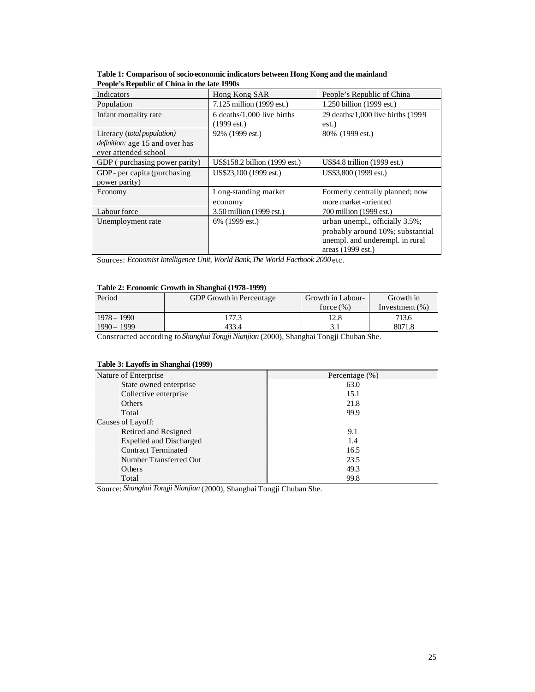| Indicators                             | Hong Kong SAR                 | People's Republic of China             |
|----------------------------------------|-------------------------------|----------------------------------------|
| Population                             | 7.125 million (1999 est.)     | 1.250 billion (1999 est.)              |
| Infant mortality rate                  | 6 deaths/1,000 live births    | 29 deaths/1,000 live births (1999      |
|                                        | $(1999 \text{ est.})$         | est.)                                  |
| Literacy (total population)            | 92% (1999 est.)               | 80% (1999 est.)                        |
| <i>definition:</i> age 15 and over has |                               |                                        |
| ever attended school                   |                               |                                        |
| GDP (purchasing power parity)          | US\$158.2 billion (1999 est.) | US\$4.8 trillion $(1999 \text{ est.})$ |
| GDP- per capita (purchasing)           | US\$23,100 (1999 est.)        | US\$3,800 (1999 est.)                  |
| power parity)                          |                               |                                        |
| Economy                                | Long-standing market          | Formerly centrally planned; now        |
|                                        | economy                       | more market-oriented                   |
| Labour force                           | 3.50 million (1999 est.)      | 700 million (1999 est.)                |
| Unemployment rate                      | 6% (1999 est.)                | urban unempl., officially 3.5%;        |
|                                        |                               | probably around 10%; substantial       |
|                                        |                               | unempl. and underempl. in rural        |
|                                        |                               | areas (1999 est.)                      |

**Table 1: Comparison of socio-economic indicators between Hong Kong and the mainland People's Republic of China in the late 1990s** 

Sources: *Economist Intelligence Unit, World Bank,The World Factbook 2000* etc.

#### **Table 2: Economic Growth in Shanghai (1978-1999)**

| Period        | <b>GDP</b> Growth in Percentage | Growth in Labour- | Growth in         |
|---------------|---------------------------------|-------------------|-------------------|
|               |                                 | force $(\% )$     | Investment $(\%)$ |
| $1978 - 1990$ | 177.3                           | 12.8              | 713.6             |
| $1990 - 1999$ | 433.4                           | 3.1               | 8071.8            |

Constructed according to *Shanghai Tongji Nianjian* (2000), Shanghai Tongji Chuban She.

#### **Table 3: Layoffs in Shanghai (1999)**

| Nature of Enterprise           | Percentage $(\%)$ |
|--------------------------------|-------------------|
| State owned enterprise         | 63.0              |
| Collective enterprise          | 15.1              |
| Others                         | 21.8              |
| Total                          | 99.9              |
| Causes of Layoff:              |                   |
| Retired and Resigned           | 9.1               |
| <b>Expelled and Discharged</b> | 1.4               |
| <b>Contract Terminated</b>     | 16.5              |
| Number Transferred Out         | 23.5              |
| Others                         | 49.3              |
| Total                          | 99.8              |

Source: *Shanghai Tongji Nianjian* (2000), Shanghai Tongji Chuban She.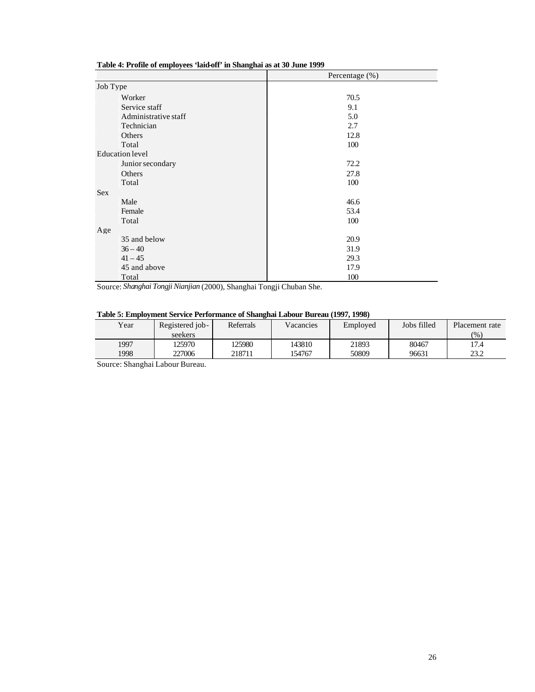#### **Table 4: Profile of employees 'laid-off' in Shanghai as at 30 June 1999**

|                        | Percentage $(\%)$ |
|------------------------|-------------------|
| Job Type               |                   |
| Worker                 | 70.5              |
| Service staff          | 9.1               |
| Administrative staff   | 5.0               |
| Technician             | 2.7               |
| Others                 | 12.8              |
| Total                  | 100               |
| <b>Education</b> level |                   |
| Junior secondary       | 72.2              |
| Others                 | 27.8              |
| Total                  | 100               |
| <b>Sex</b>             |                   |
| Male                   | 46.6              |
| Female                 | 53.4              |
| Total                  | 100               |
| Age                    |                   |
| 35 and below           | 20.9              |
| $36 - 40$              | 31.9              |
| $41 - 45$              | 29.3              |
| 45 and above           | 17.9              |
| Total                  | 100               |

Source: *Shanghai Tongji Nianjian* (2000), Shanghai Tongji Chuban She.

#### **Table 5: Employment Service Performance of Shanghai Labour Bureau (1997, 1998)**

| AMMAR RI AJAANAN IAANAAN MUL IARRA RAAMAANARKU MA MAAMAAMAAMA AJMMUUMA AFMAR IASSI ILISSI M |                 |           |           |          |             |                |
|---------------------------------------------------------------------------------------------|-----------------|-----------|-----------|----------|-------------|----------------|
| Year                                                                                        | Registered job- | Referrals | Vacancies | Employed | Jobs filled | Placement rate |
|                                                                                             | seekers         |           |           |          |             | (9)            |
| 1997                                                                                        | 25970           | 125980    | 143810    | 21893    | 80467       | 17.4           |
| 1998                                                                                        | 227006          | 218711    | 154767    | 50809    | 96631       | 23.2           |

Source: Shanghai Labour Bureau.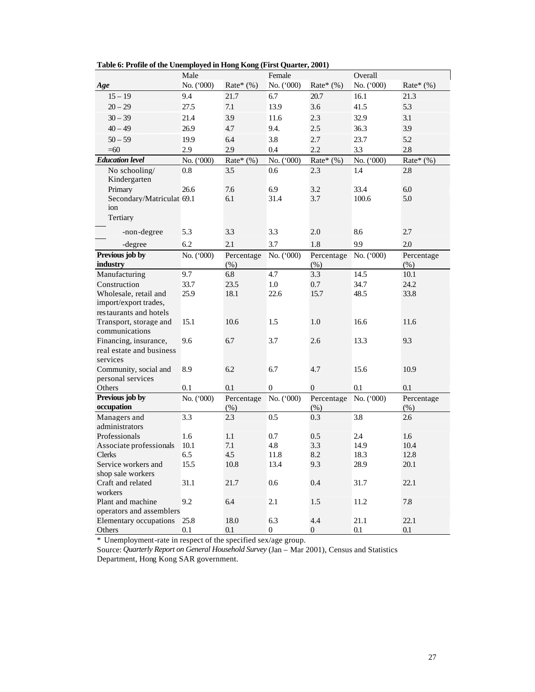|                                 | Male       |                    | Female         |                               | Overall    |                    |
|---------------------------------|------------|--------------------|----------------|-------------------------------|------------|--------------------|
| Age                             | No. ('000) | Rate* $(\%)$       | No. ('000)     | Rate* $(\%)$                  | No. ('000) | Rate* $(\%)$       |
| $15 - 19$                       | 9.4        | 21.7               | 6.7            | 20.7                          | 16.1       | 21.3               |
| $20 - 29$                       | 27.5       | 7.1                | 13.9           | 3.6                           | 41.5       | 5.3                |
| $30 - 39$                       | 21.4       | 3.9                | 11.6           | 2.3                           | 32.9       | 3.1                |
| $40 - 49$                       | 26.9       | 4.7                | 9.4.           | 2.5                           | 36.3       | 3.9                |
| $50 - 59$                       | 19.9       | 6.4                | 3.8            | 2.7                           | 23.7       | 5.2                |
|                                 | 2.9        | 2.9                |                | 2.2                           | 3.3        | 2.8                |
| $=60$<br><b>Education</b> level |            |                    | 0.4            |                               |            |                    |
|                                 | No. ('000) | Rate* $(\% )$      | No. ('000)     | Rate* $(\%)$                  | No. ('000) | Rate* $(\%)$       |
| No schooling/<br>Kindergarten   | 0.8        | 3.5                | 0.6            | 2.3                           | 1.4        | 2.8                |
| Primary                         | 26.6       | 7.6                | 6.9            | 3.2                           | 33.4       | 6.0                |
| Secondary/Matriculat 69.1       |            | 6.1                | 31.4           | 3.7                           | 100.6      | 5.0                |
| ion                             |            |                    |                |                               |            |                    |
| Tertiary                        |            |                    |                |                               |            |                    |
| -non-degree                     | 5.3        | 3.3                | 3.3            | 2.0                           | 8.6        | 2.7                |
|                                 | 6.2        | 2.1                | 3.7            | 1.8                           | 9.9        | 2.0                |
| -degree                         |            |                    |                |                               |            |                    |
| Previous job by<br>industry     | No. ('000) | Percentage<br>(% ) | No. $(000)$    | Percentage No. ('000)<br>(% ) |            | Percentage<br>(% ) |
| Manufacturing                   | 9.7        | 6.8                | 4.7            | 3.3                           | 14.5       | 10.1               |
| Construction                    | 33.7       | 23.5               | 1.0            | 0.7                           | 34.7       | 24.2               |
| Wholesale, retail and           | 25.9       | 18.1               | 22.6           | 15.7                          | 48.5       | 33.8               |
| import/export trades,           |            |                    |                |                               |            |                    |
| restaurants and hotels          |            |                    |                |                               |            |                    |
| Transport, storage and          | 15.1       | 10.6               | 1.5            | 1.0                           | 16.6       | 11.6               |
| communications                  |            |                    |                |                               |            |                    |
| Financing, insurance,           | 9.6        | 6.7                | 3.7            | 2.6                           | 13.3       | 9.3                |
| real estate and business        |            |                    |                |                               |            |                    |
| services                        |            |                    |                |                               |            |                    |
| Community, social and           | 8.9        | 6.2                | 6.7            | 4.7                           | 15.6       | 10.9               |
| personal services               |            |                    |                |                               |            |                    |
| Others                          | 0.1        | 0.1                | 0              | $\mathbf{0}$                  | 0.1        | 0.1                |
| Previous job by                 | No. ('000) | Percentage         | No. ('000)     | Percentage                    | No. ('000) | Percentage         |
| occupation                      |            | (% )               |                | $(\%)$                        |            | (% )               |
| Managers and                    | 3.3        | 2.3                | 0.5            | 0.3                           | 3.8        | 2.6                |
| administrators                  |            |                    |                |                               |            |                    |
| Professionals                   | 1.6        | 1.1                | 0.7            | 0.5                           | 2.4        | 1.6                |
| Associate professionals         | 10.1       | 7.1                | 4.8            | 3.3                           | 14.9       | 10.4               |
| <b>Clerks</b>                   | 6.5        | 4.5                | 11.8           | 8.2                           | 18.3       | 12.8               |
| Service workers and             | 15.5       | 10.8               | 13.4           | 9.3                           | 28.9       | 20.1               |
| shop sale workers               |            |                    |                |                               |            |                    |
| Craft and related               | 31.1       | 21.7               | 0.6            | 0.4                           | 31.7       | 22.1               |
| workers                         |            |                    |                |                               |            |                    |
| Plant and machine               | 9.2        | 6.4                | 2.1            | 1.5                           | 11.2       | $7.8\,$            |
| operators and assemblers        |            |                    |                |                               |            |                    |
| Elementary occupations          | 25.8       | 18.0               | 6.3            | 4.4                           | 21.1       | 22.1               |
| Others                          | $0.1\,$    | $0.1\,$            | $\overline{0}$ | $\overline{0}$                | $0.1\,$    | $0.1\,$            |

**Table 6: Profile of the Unemployed in Hong Kong (First Quarter, 2001)**

\* Unemployment-rate in respect of the specified sex/age group.

Source: *Quarterly Report on General Household Survey* (Jan – Mar 2001), Census and Statistics Department, Hong Kong SAR government.